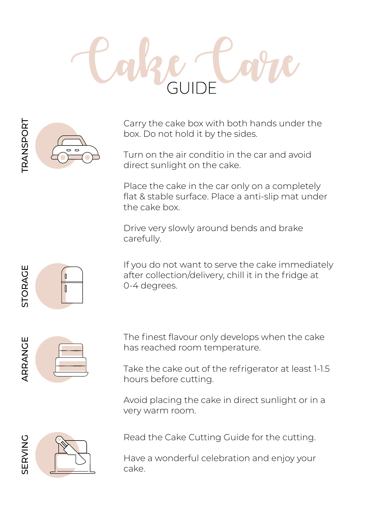

Carry the cake box with both hands under the box. Do not hold it by the sides.

Turn on the air conditio in the car and avoid direct sunlight on the cake.

Place the cake in the car only on a completely flat & stable surface. Place a anti-slip mat under the cake box.

Drive very slowly around bends and brake carefully.

If you do not want to serve the cake immediately after collection/delivery, chill it in the fridge at 0-4 degrees.



STORAGE

**STORAGE** 

The finest flavour only develops when the cake has reached room temperature.

Take the cake out of the refrigerator at least 1-1.5 hours before cutting.

Avoid placing the cake in direct sunlight or in a very warm room.



Read the Cake Cutting Guide for the cutting.

Have a wonderful celebration and enjoy your cake.